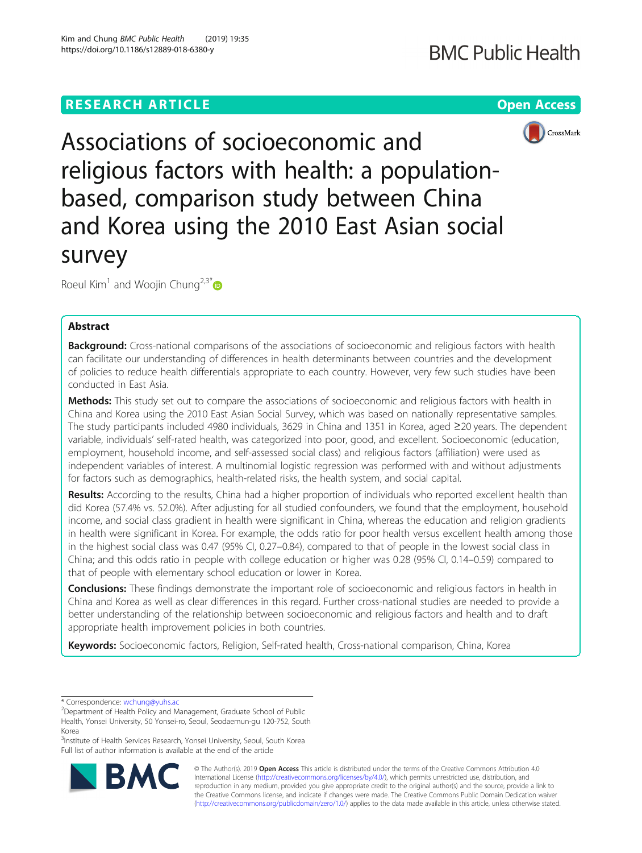Kim and Chung BMC Public Health (2019) 19:35 https://doi.org/10.1186/s12889-018-6380-y





Associations of socioeconomic and religious factors with health: a populationbased, comparison study between China and Korea using the 2010 East Asian social survey

Roeul Kim<sup>1</sup> and Woojin Chung<sup>2,3[\\*](http://orcid.org/0000-0003-2090-4851)</sup>

# Abstract

Background: Cross-national comparisons of the associations of socioeconomic and religious factors with health can facilitate our understanding of differences in health determinants between countries and the development of policies to reduce health differentials appropriate to each country. However, very few such studies have been conducted in East Asia.

Methods: This study set out to compare the associations of socioeconomic and religious factors with health in China and Korea using the 2010 East Asian Social Survey, which was based on nationally representative samples. The study participants included 4980 individuals, 3629 in China and 1351 in Korea, aged ≥20 years. The dependent variable, individuals' self-rated health, was categorized into poor, good, and excellent. Socioeconomic (education, employment, household income, and self-assessed social class) and religious factors (affiliation) were used as independent variables of interest. A multinomial logistic regression was performed with and without adjustments for factors such as demographics, health-related risks, the health system, and social capital.

Results: According to the results, China had a higher proportion of individuals who reported excellent health than did Korea (57.4% vs. 52.0%). After adjusting for all studied confounders, we found that the employment, household income, and social class gradient in health were significant in China, whereas the education and religion gradients in health were significant in Korea. For example, the odds ratio for poor health versus excellent health among those in the highest social class was 0.47 (95% CI, 0.27–0.84), compared to that of people in the lowest social class in China; and this odds ratio in people with college education or higher was 0.28 (95% CI, 0.14–0.59) compared to that of people with elementary school education or lower in Korea.

**Conclusions:** These findings demonstrate the important role of socioeconomic and religious factors in health in China and Korea as well as clear differences in this regard. Further cross-national studies are needed to provide a better understanding of the relationship between socioeconomic and religious factors and health and to draft appropriate health improvement policies in both countries.

Keywords: Socioeconomic factors, Religion, Self-rated health, Cross-national comparison, China, Korea

<sup>3</sup>Institute of Health Services Research, Yonsei University, Seoul, South Korea Full list of author information is available at the end of the article



© The Author(s). 2019 Open Access This article is distributed under the terms of the Creative Commons Attribution 4.0 International License [\(http://creativecommons.org/licenses/by/4.0/](http://creativecommons.org/licenses/by/4.0/)), which permits unrestricted use, distribution, and reproduction in any medium, provided you give appropriate credit to the original author(s) and the source, provide a link to the Creative Commons license, and indicate if changes were made. The Creative Commons Public Domain Dedication waiver [\(http://creativecommons.org/publicdomain/zero/1.0/](http://creativecommons.org/publicdomain/zero/1.0/)) applies to the data made available in this article, unless otherwise stated.

<sup>\*</sup> Correspondence: [wchung@yuhs.ac](mailto:wchung@yuhs.ac) <sup>2</sup>

<sup>&</sup>lt;sup>2</sup>Department of Health Policy and Management, Graduate School of Public Health, Yonsei University, 50 Yonsei-ro, Seoul, Seodaemun-gu 120-752, South Korea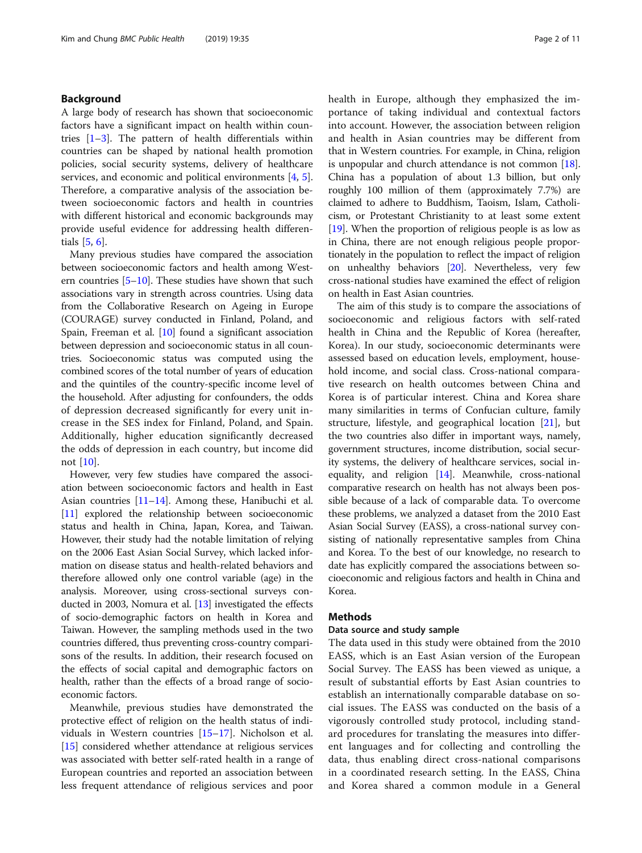## Background

A large body of research has shown that socioeconomic factors have a significant impact on health within countries  $[1-3]$  $[1-3]$  $[1-3]$ . The pattern of health differentials within countries can be shaped by national health promotion policies, social security systems, delivery of healthcare services, and economic and political environments [\[4](#page-9-0), [5](#page-9-0)]. Therefore, a comparative analysis of the association between socioeconomic factors and health in countries with different historical and economic backgrounds may provide useful evidence for addressing health differentials [\[5](#page-9-0), [6](#page-9-0)].

Many previous studies have compared the association between socioeconomic factors and health among Western countries [\[5](#page-9-0)–[10\]](#page-9-0). These studies have shown that such associations vary in strength across countries. Using data from the Collaborative Research on Ageing in Europe (COURAGE) survey conducted in Finland, Poland, and Spain, Freeman et al. [\[10\]](#page-9-0) found a significant association between depression and socioeconomic status in all countries. Socioeconomic status was computed using the combined scores of the total number of years of education and the quintiles of the country-specific income level of the household. After adjusting for confounders, the odds of depression decreased significantly for every unit increase in the SES index for Finland, Poland, and Spain. Additionally, higher education significantly decreased the odds of depression in each country, but income did not [[10\]](#page-9-0).

However, very few studies have compared the association between socioeconomic factors and health in East Asian countries [\[11](#page-9-0)–[14](#page-10-0)]. Among these, Hanibuchi et al. [[11](#page-9-0)] explored the relationship between socioeconomic status and health in China, Japan, Korea, and Taiwan. However, their study had the notable limitation of relying on the 2006 East Asian Social Survey, which lacked information on disease status and health-related behaviors and therefore allowed only one control variable (age) in the analysis. Moreover, using cross-sectional surveys conducted in 2003, Nomura et al. [[13](#page-10-0)] investigated the effects of socio-demographic factors on health in Korea and Taiwan. However, the sampling methods used in the two countries differed, thus preventing cross-country comparisons of the results. In addition, their research focused on the effects of social capital and demographic factors on health, rather than the effects of a broad range of socioeconomic factors.

Meanwhile, previous studies have demonstrated the protective effect of religion on the health status of individuals in Western countries [\[15](#page-10-0)–[17\]](#page-10-0). Nicholson et al. [[15\]](#page-10-0) considered whether attendance at religious services was associated with better self-rated health in a range of European countries and reported an association between less frequent attendance of religious services and poor health in Europe, although they emphasized the importance of taking individual and contextual factors into account. However, the association between religion and health in Asian countries may be different from that in Western countries. For example, in China, religion is unpopular and church attendance is not common [[18](#page-10-0)]. China has a population of about 1.3 billion, but only roughly 100 million of them (approximately 7.7%) are claimed to adhere to Buddhism, Taoism, Islam, Catholicism, or Protestant Christianity to at least some extent [[19](#page-10-0)]. When the proportion of religious people is as low as in China, there are not enough religious people proportionately in the population to reflect the impact of religion on unhealthy behaviors [[20](#page-10-0)]. Nevertheless, very few cross-national studies have examined the effect of religion on health in East Asian countries.

The aim of this study is to compare the associations of socioeconomic and religious factors with self-rated health in China and the Republic of Korea (hereafter, Korea). In our study, socioeconomic determinants were assessed based on education levels, employment, household income, and social class. Cross-national comparative research on health outcomes between China and Korea is of particular interest. China and Korea share many similarities in terms of Confucian culture, family structure, lifestyle, and geographical location [[21](#page-10-0)], but the two countries also differ in important ways, namely, government structures, income distribution, social security systems, the delivery of healthcare services, social inequality, and religion [\[14\]](#page-10-0). Meanwhile, cross-national comparative research on health has not always been possible because of a lack of comparable data. To overcome these problems, we analyzed a dataset from the 2010 East Asian Social Survey (EASS), a cross-national survey consisting of nationally representative samples from China and Korea. To the best of our knowledge, no research to date has explicitly compared the associations between socioeconomic and religious factors and health in China and Korea.

## **Methods**

## Data source and study sample

The data used in this study were obtained from the 2010 EASS, which is an East Asian version of the European Social Survey. The EASS has been viewed as unique, a result of substantial efforts by East Asian countries to establish an internationally comparable database on social issues. The EASS was conducted on the basis of a vigorously controlled study protocol, including standard procedures for translating the measures into different languages and for collecting and controlling the data, thus enabling direct cross-national comparisons in a coordinated research setting. In the EASS, China and Korea shared a common module in a General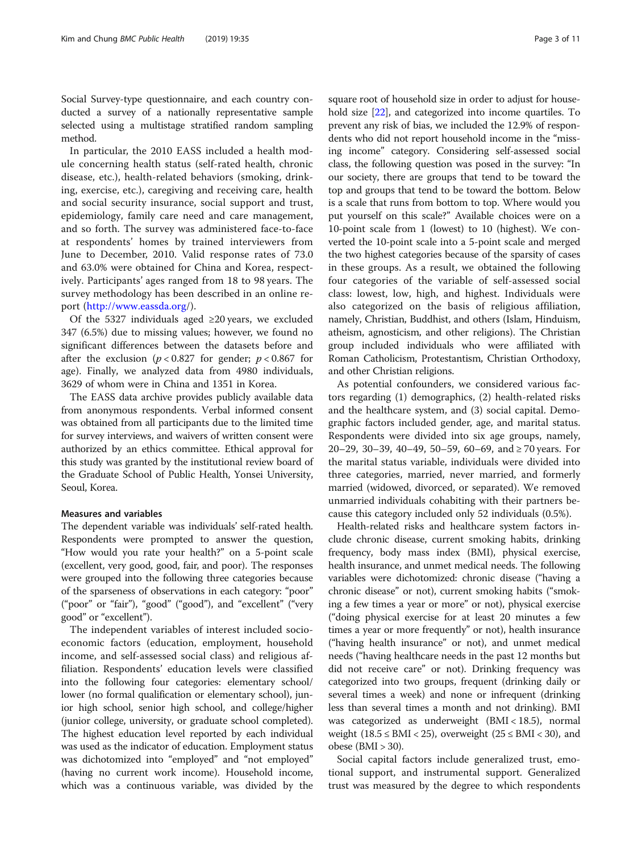In particular, the 2010 EASS included a health module concerning health status (self-rated health, chronic disease, etc.), health-related behaviors (smoking, drinking, exercise, etc.), caregiving and receiving care, health and social security insurance, social support and trust, epidemiology, family care need and care management, and so forth. The survey was administered face-to-face at respondents' homes by trained interviewers from June to December, 2010. Valid response rates of 73.0 and 63.0% were obtained for China and Korea, respectively. Participants' ages ranged from 18 to 98 years. The survey methodology has been described in an online report [\(http://www.eassda.org/](http://www.eassda.org)).

Of the 5327 individuals aged ≥20 years, we excluded 347 (6.5%) due to missing values; however, we found no significant differences between the datasets before and after the exclusion ( $p < 0.827$  for gender;  $p < 0.867$  for age). Finally, we analyzed data from 4980 individuals, 3629 of whom were in China and 1351 in Korea.

The EASS data archive provides publicly available data from anonymous respondents. Verbal informed consent was obtained from all participants due to the limited time for survey interviews, and waivers of written consent were authorized by an ethics committee. Ethical approval for this study was granted by the institutional review board of the Graduate School of Public Health, Yonsei University, Seoul, Korea.

## Measures and variables

The dependent variable was individuals' self-rated health. Respondents were prompted to answer the question, "How would you rate your health?" on a 5-point scale (excellent, very good, good, fair, and poor). The responses were grouped into the following three categories because of the sparseness of observations in each category: "poor" ("poor" or "fair"), "good" ("good"), and "excellent" ("very good" or "excellent").

The independent variables of interest included socioeconomic factors (education, employment, household income, and self-assessed social class) and religious affiliation. Respondents' education levels were classified into the following four categories: elementary school/ lower (no formal qualification or elementary school), junior high school, senior high school, and college/higher (junior college, university, or graduate school completed). The highest education level reported by each individual was used as the indicator of education. Employment status was dichotomized into "employed" and "not employed" (having no current work income). Household income, which was a continuous variable, was divided by the square root of household size in order to adjust for household size [[22](#page-10-0)], and categorized into income quartiles. To prevent any risk of bias, we included the 12.9% of respondents who did not report household income in the "missing income" category. Considering self-assessed social class, the following question was posed in the survey: "In our society, there are groups that tend to be toward the top and groups that tend to be toward the bottom. Below is a scale that runs from bottom to top. Where would you put yourself on this scale?" Available choices were on a 10-point scale from 1 (lowest) to 10 (highest). We converted the 10-point scale into a 5-point scale and merged the two highest categories because of the sparsity of cases in these groups. As a result, we obtained the following four categories of the variable of self-assessed social class: lowest, low, high, and highest. Individuals were also categorized on the basis of religious affiliation, namely, Christian, Buddhist, and others (Islam, Hinduism, atheism, agnosticism, and other religions). The Christian group included individuals who were affiliated with Roman Catholicism, Protestantism, Christian Orthodoxy, and other Christian religions.

As potential confounders, we considered various factors regarding (1) demographics, (2) health-related risks and the healthcare system, and (3) social capital. Demographic factors included gender, age, and marital status. Respondents were divided into six age groups, namely, 20–29, 30–39, 40–49, 50–59, 60–69, and  $\geq$  70 years. For the marital status variable, individuals were divided into three categories, married, never married, and formerly married (widowed, divorced, or separated). We removed unmarried individuals cohabiting with their partners because this category included only 52 individuals (0.5%).

Health-related risks and healthcare system factors include chronic disease, current smoking habits, drinking frequency, body mass index (BMI), physical exercise, health insurance, and unmet medical needs. The following variables were dichotomized: chronic disease ("having a chronic disease" or not), current smoking habits ("smoking a few times a year or more" or not), physical exercise ("doing physical exercise for at least 20 minutes a few times a year or more frequently" or not), health insurance ("having health insurance" or not), and unmet medical needs ("having healthcare needs in the past 12 months but did not receive care" or not). Drinking frequency was categorized into two groups, frequent (drinking daily or several times a week) and none or infrequent (drinking less than several times a month and not drinking). BMI was categorized as underweight (BMI < 18.5), normal weight  $(18.5 \leq BMI < 25)$ , overweight  $(25 \leq BMI < 30)$ , and obese  $(BMI > 30)$ .

Social capital factors include generalized trust, emotional support, and instrumental support. Generalized trust was measured by the degree to which respondents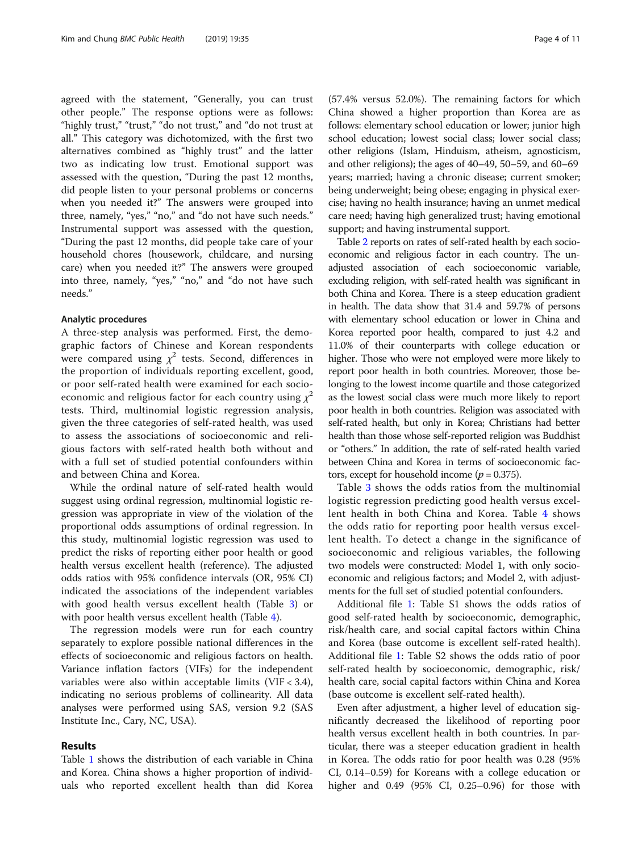agreed with the statement, "Generally, you can trust other people." The response options were as follows: "highly trust," "trust," "do not trust," and "do not trust at all." This category was dichotomized, with the first two alternatives combined as "highly trust" and the latter two as indicating low trust. Emotional support was assessed with the question, "During the past 12 months, did people listen to your personal problems or concerns when you needed it?" The answers were grouped into three, namely, "yes," "no," and "do not have such needs." Instrumental support was assessed with the question, "During the past 12 months, did people take care of your household chores (housework, childcare, and nursing care) when you needed it?" The answers were grouped into three, namely, "yes," "no," and "do not have such needs."

## Analytic procedures

A three-step analysis was performed. First, the demographic factors of Chinese and Korean respondents were compared using  $\chi^2$  tests. Second, differences in the proportion of individuals reporting excellent, good, or poor self-rated health were examined for each socioeconomic and religious factor for each country using  $\chi^2$ tests. Third, multinomial logistic regression analysis, given the three categories of self-rated health, was used to assess the associations of socioeconomic and religious factors with self-rated health both without and with a full set of studied potential confounders within and between China and Korea.

While the ordinal nature of self-rated health would suggest using ordinal regression, multinomial logistic regression was appropriate in view of the violation of the proportional odds assumptions of ordinal regression. In this study, multinomial logistic regression was used to predict the risks of reporting either poor health or good health versus excellent health (reference). The adjusted odds ratios with 95% confidence intervals (OR, 95% CI) indicated the associations of the independent variables with good health versus excellent health (Table [3](#page-6-0)) or with poor health versus excellent health (Table [4](#page-7-0)).

The regression models were run for each country separately to explore possible national differences in the effects of socioeconomic and religious factors on health. Variance inflation factors (VIFs) for the independent variables were also within acceptable limits (VIF  $<$  3.4), indicating no serious problems of collinearity. All data analyses were performed using SAS, version 9.2 (SAS Institute Inc., Cary, NC, USA).

## Results

Table [1](#page-4-0) shows the distribution of each variable in China and Korea. China shows a higher proportion of individuals who reported excellent health than did Korea

(57.4% versus 52.0%). The remaining factors for which China showed a higher proportion than Korea are as follows: elementary school education or lower; junior high school education; lowest social class; lower social class; other religions (Islam, Hinduism, atheism, agnosticism, and other religions); the ages of 40–49, 50–59, and 60–69 years; married; having a chronic disease; current smoker; being underweight; being obese; engaging in physical exercise; having no health insurance; having an unmet medical care need; having high generalized trust; having emotional support; and having instrumental support.

Table [2](#page-5-0) reports on rates of self-rated health by each socioeconomic and religious factor in each country. The unadjusted association of each socioeconomic variable, excluding religion, with self-rated health was significant in both China and Korea. There is a steep education gradient in health. The data show that 31.4 and 59.7% of persons with elementary school education or lower in China and Korea reported poor health, compared to just 4.2 and 11.0% of their counterparts with college education or higher. Those who were not employed were more likely to report poor health in both countries. Moreover, those belonging to the lowest income quartile and those categorized as the lowest social class were much more likely to report poor health in both countries. Religion was associated with self-rated health, but only in Korea; Christians had better health than those whose self-reported religion was Buddhist or "others." In addition, the rate of self-rated health varied between China and Korea in terms of socioeconomic factors, except for household income ( $p = 0.375$ ).

Table [3](#page-6-0) shows the odds ratios from the multinomial logistic regression predicting good health versus excellent health in both China and Korea. Table [4](#page-7-0) shows the odds ratio for reporting poor health versus excellent health. To detect a change in the significance of socioeconomic and religious variables, the following two models were constructed: Model 1, with only socioeconomic and religious factors; and Model 2, with adjustments for the full set of studied potential confounders.

Additional file [1:](#page-9-0) Table S1 shows the odds ratios of good self-rated health by socioeconomic, demographic, risk/health care, and social capital factors within China and Korea (base outcome is excellent self-rated health). Additional file [1](#page-9-0): Table S2 shows the odds ratio of poor self-rated health by socioeconomic, demographic, risk/ health care, social capital factors within China and Korea (base outcome is excellent self-rated health).

Even after adjustment, a higher level of education significantly decreased the likelihood of reporting poor health versus excellent health in both countries. In particular, there was a steeper education gradient in health in Korea. The odds ratio for poor health was 0.28 (95% CI, 0.14–0.59) for Koreans with a college education or higher and 0.49 (95% CI, 0.25–0.96) for those with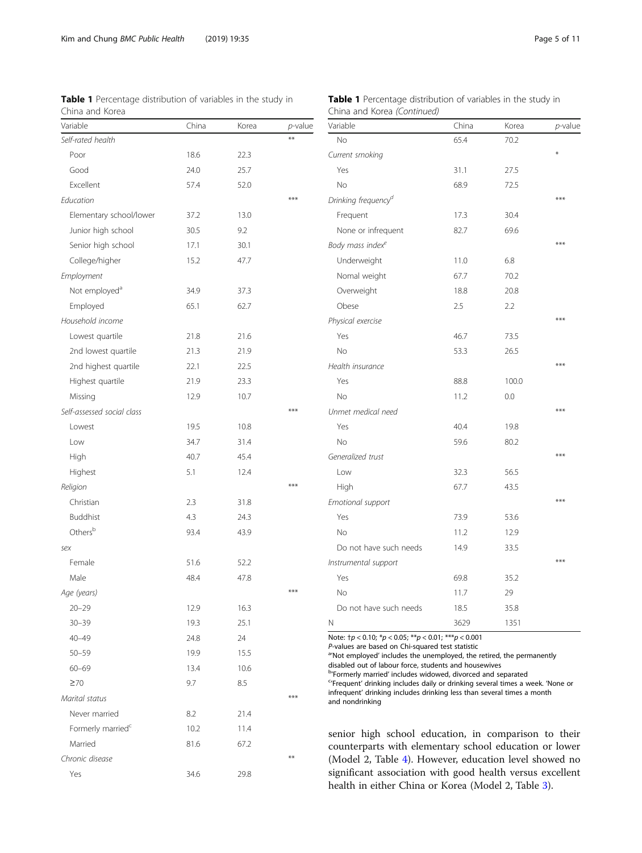<span id="page-4-0"></span>Kim and Chung BMC Public Health (2019) 19:35

China and Korea

Table 1 Percentage distribution of variables in the study in

| Page 5 of 11 |  |  |
|--------------|--|--|
|              |  |  |

| Variable                      | China | Korea | p-value |
|-------------------------------|-------|-------|---------|
| Self-rated health             |       |       | **      |
| Poor                          | 18.6  | 22.3  |         |
| Good                          | 24.0  | 25.7  |         |
| Excellent                     | 57.4  | 52.0  |         |
| Education                     |       |       | ***     |
| Elementary school/lower       | 37.2  | 13.0  |         |
| Junior high school            | 30.5  | 9.2   |         |
| Senior high school            | 17.1  | 30.1  |         |
| College/higher                | 15.2  | 47.7  |         |
| Employment                    |       |       |         |
| Not employed <sup>a</sup>     | 34.9  | 37.3  |         |
| Employed                      | 65.1  | 62.7  |         |
| Household income              |       |       |         |
| Lowest quartile               | 21.8  | 21.6  |         |
| 2nd lowest quartile           | 21.3  | 21.9  |         |
| 2nd highest quartile          | 22.1  | 22.5  |         |
| Highest quartile              | 21.9  | 23.3  |         |
| Missing                       | 12.9  | 10.7  |         |
| Self-assessed social class    |       |       | ***     |
| Lowest                        | 19.5  | 10.8  |         |
| Low                           | 34.7  | 31.4  |         |
| High                          | 40.7  | 45.4  |         |
| Highest                       | 5.1   | 12.4  |         |
| Religion                      |       |       | ***     |
| Christian                     | 2.3   | 31.8  |         |
| <b>Buddhist</b>               | 4.3   | 24.3  |         |
| Othersb                       | 93.4  | 43.9  |         |
| sex                           |       |       |         |
| Female                        | 51.6  | 52.2  |         |
| Male                          | 48.4  | 47.8  |         |
| Age (years)                   |       |       | ***     |
| 20–29                         | 12.9  | 16.3  |         |
| $30 - 39$                     | 19.3  | 25.1  |         |
| $40 - 49$                     | 24.8  | 24    |         |
| $50 - 59$                     | 19.9  | 15.5  |         |
| $60 - 69$                     | 13.4  | 10.6  |         |
| $\geq 70$                     | 9.7   | 8.5   |         |
| Marital status                |       |       | ***     |
| Never married                 | 8.2   | 21.4  |         |
| Formerly married <sup>c</sup> | 10.2  | 11.4  |         |
| Married                       | 81.6  | 67.2  |         |
| Chronic disease               |       |       | **      |
| Yes                           | 34.6  | 29.8  |         |
|                               |       |       |         |

| <b>Table 1</b> Percentage distribution of variables in the study in |  |  |  |
|---------------------------------------------------------------------|--|--|--|
| China and Korea (Continued)                                         |  |  |  |

| Variable                        | China | Korea | p-value |
|---------------------------------|-------|-------|---------|
| No                              | 65.4  | 70.2  |         |
| Current smoking                 |       |       | ¥       |
| Yes                             | 31.1  | 27.5  |         |
| No                              | 68.9  | 72.5  |         |
| Drinking frequency <sup>d</sup> |       |       | ***     |
| Frequent                        | 17.3  | 30.4  |         |
| None or infrequent              | 82.7  | 69.6  |         |
| Body mass index <sup>e</sup>    |       |       | $***$   |
| Underweight                     | 11.0  | 6.8   |         |
| Nomal weight                    | 67.7  | 70.2  |         |
| Overweight                      | 18.8  | 20.8  |         |
| Obese                           | 2.5   | 2.2   |         |
| Physical exercise               |       |       | ***     |
| Yes                             | 46.7  | 73.5  |         |
| <b>No</b>                       | 53.3  | 26.5  |         |
| Health insurance                |       |       | $***$   |
| Yes                             | 88.8  | 100.0 |         |
| No                              | 11.2  | 0.0   |         |
| Unmet medical need              |       |       | ***     |
| Yes                             | 40.4  | 19.8  |         |
| No                              | 59.6  | 80.2  |         |
| Generalized trust               |       |       | $***$   |
| Low                             | 32.3  | 56.5  |         |
| High                            | 67.7  | 43.5  |         |
| Emotional support               |       |       | $***$   |
| Yes                             | 73.9  | 53.6  |         |
| No                              | 11.2  | 12.9  |         |
| Do not have such needs          | 14.9  | 33.5  |         |
| Instrumental support            |       |       | $***$   |
| Yes                             | 69.8  | 35.2  |         |
| No                              | 11.7  | 29    |         |
| Do not have such needs          | 18.5  | 35.8  |         |
| N                               | 3629  | 1351  |         |

Note:  $\frac{1}{p}$  < 0.10;  $\frac{*p}{p}$  < 0.05;  $\frac{**p}{p}$  < 0.01;  $\frac{***p}{p}$  < 0.001

P-values are based on Chi-squared test statistic

a'Not employed' includes the unemployed, the retired, the permanently disabled out of labour force, students and housewives

<sup>b</sup>'Formerly married' includes widowed, divorced and separated

<sup>b</sup>'Formerly married' includes widowed, divorced and separated<br><sup>c</sup>'Frequent' drinking includes daily or drinking several times a week. 'None or infrequent' drinking includes drinking less than several times a month and nondrinking

senior high school education, in comparison to their counterparts with elementary school education or lower (Model 2, Table [4](#page-7-0)). However, education level showed no significant association with good health versus excellent health in either China or Korea (Model 2, Table [3](#page-6-0)).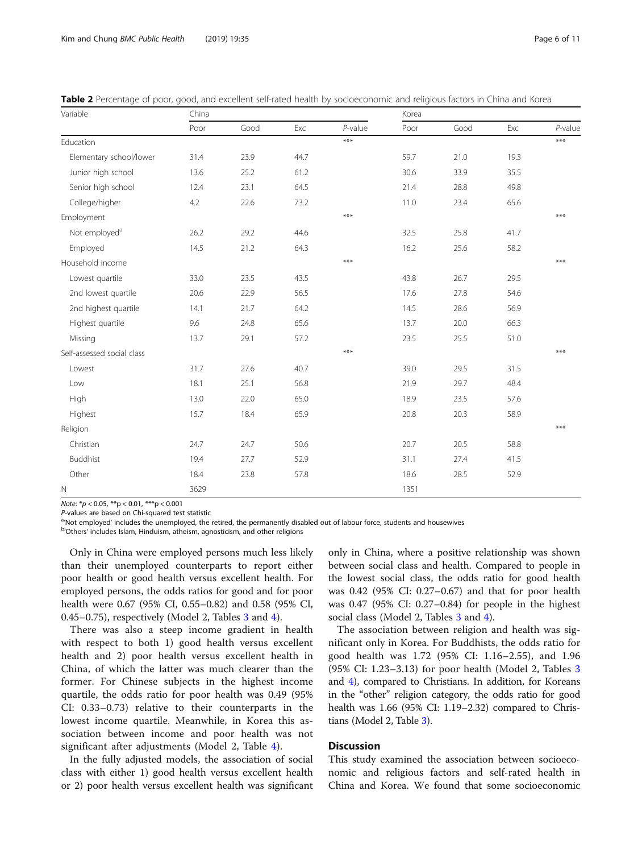| Variable                   | China |      |      |            | Korea |      |      |            |  |
|----------------------------|-------|------|------|------------|-------|------|------|------------|--|
|                            | Poor  | Good | Exc  | $P$ -value | Poor  | Good | Exc  | $P$ -value |  |
| Education                  |       |      |      | $***$      |       |      |      | ***        |  |
| Elementary school/lower    | 31.4  | 23.9 | 44.7 |            | 59.7  | 21.0 | 19.3 |            |  |
| Junior high school         | 13.6  | 25.2 | 61.2 |            | 30.6  | 33.9 | 35.5 |            |  |
| Senior high school         | 12.4  | 23.1 | 64.5 |            | 21.4  | 28.8 | 49.8 |            |  |
| College/higher             | 4.2   | 22.6 | 73.2 |            | 11.0  | 23.4 | 65.6 |            |  |
| Employment                 |       |      |      | $***$      |       |      |      | ***        |  |
| Not employed <sup>a</sup>  | 26.2  | 29.2 | 44.6 |            | 32.5  | 25.8 | 41.7 |            |  |
| Employed                   | 14.5  | 21.2 | 64.3 |            | 16.2  | 25.6 | 58.2 |            |  |
| Household income           |       |      |      | $***$      |       |      |      | ***        |  |
| Lowest quartile            | 33.0  | 23.5 | 43.5 |            | 43.8  | 26.7 | 29.5 |            |  |
| 2nd lowest quartile        | 20.6  | 22.9 | 56.5 |            | 17.6  | 27.8 | 54.6 |            |  |
| 2nd highest quartile       | 14.1  | 21.7 | 64.2 |            | 14.5  | 28.6 | 56.9 |            |  |
| Highest quartile           | 9.6   | 24.8 | 65.6 |            | 13.7  | 20.0 | 66.3 |            |  |
| Missing                    | 13.7  | 29.1 | 57.2 |            | 23.5  | 25.5 | 51.0 |            |  |
| Self-assessed social class |       |      |      | $***$      |       |      |      | ***        |  |
| Lowest                     | 31.7  | 27.6 | 40.7 |            | 39.0  | 29.5 | 31.5 |            |  |
| Low                        | 18.1  | 25.1 | 56.8 |            | 21.9  | 29.7 | 48.4 |            |  |
| High                       | 13.0  | 22.0 | 65.0 |            | 18.9  | 23.5 | 57.6 |            |  |
| Highest                    | 15.7  | 18.4 | 65.9 |            | 20.8  | 20.3 | 58.9 |            |  |
| Religion                   |       |      |      |            |       |      |      | ***        |  |
| Christian                  | 24.7  | 24.7 | 50.6 |            | 20.7  | 20.5 | 58.8 |            |  |
| Buddhist                   | 19.4  | 27.7 | 52.9 |            | 31.1  | 27.4 | 41.5 |            |  |
| Other                      | 18.4  | 23.8 | 57.8 |            | 18.6  | 28.5 | 52.9 |            |  |
| $\mathbb N$                | 3629  |      |      |            | 1351  |      |      |            |  |

<span id="page-5-0"></span>Table 2 Percentage of poor, good, and excellent self-rated health by socioeconomic and religious factors in China and Korea

Note:  $* p < 0.05$ ,  $** p < 0.01$ ,  $** p < 0.001$ 

P-values are based on Chi-squared test statistic

<sup>a</sup>'Not employed' includes the unemployed, the retired, the permanently disabled out of labour force, students and housewives by the permanent of the students and housewives

b'Others' includes Islam, Hinduism, atheism, agnosticism, and other religions

Only in China were employed persons much less likely than their unemployed counterparts to report either poor health or good health versus excellent health. For employed persons, the odds ratios for good and for poor health were 0.67 (95% CI, 0.55–0.82) and 0.58 (95% CI, 0.45–0.75), respectively (Model 2, Tables [3](#page-6-0) and [4\)](#page-7-0).

There was also a steep income gradient in health with respect to both 1) good health versus excellent health and 2) poor health versus excellent health in China, of which the latter was much clearer than the former. For Chinese subjects in the highest income quartile, the odds ratio for poor health was 0.49 (95% CI: 0.33–0.73) relative to their counterparts in the lowest income quartile. Meanwhile, in Korea this association between income and poor health was not significant after adjustments (Model 2, Table [4\)](#page-7-0).

In the fully adjusted models, the association of social class with either 1) good health versus excellent health or 2) poor health versus excellent health was significant

only in China, where a positive relationship was shown between social class and health. Compared to people in the lowest social class, the odds ratio for good health was 0.42 (95% CI: 0.27–0.67) and that for poor health was 0.47 (95% CI: 0.27–0.84) for people in the highest social class (Model 2, Tables [3](#page-6-0) and [4\)](#page-7-0).

The association between religion and health was significant only in Korea. For Buddhists, the odds ratio for good health was 1.72 (95% CI: 1.16–2.55), and 1.96 (95% CI: 1.23–3.13) for poor health (Model 2, Tables [3](#page-6-0) and [4](#page-7-0)), compared to Christians. In addition, for Koreans in the "other" religion category, the odds ratio for good health was 1.66 (95% CI: 1.19–2.32) compared to Christians (Model 2, Table [3\)](#page-6-0).

# **Discussion**

This study examined the association between socioeconomic and religious factors and self-rated health in China and Korea. We found that some socioeconomic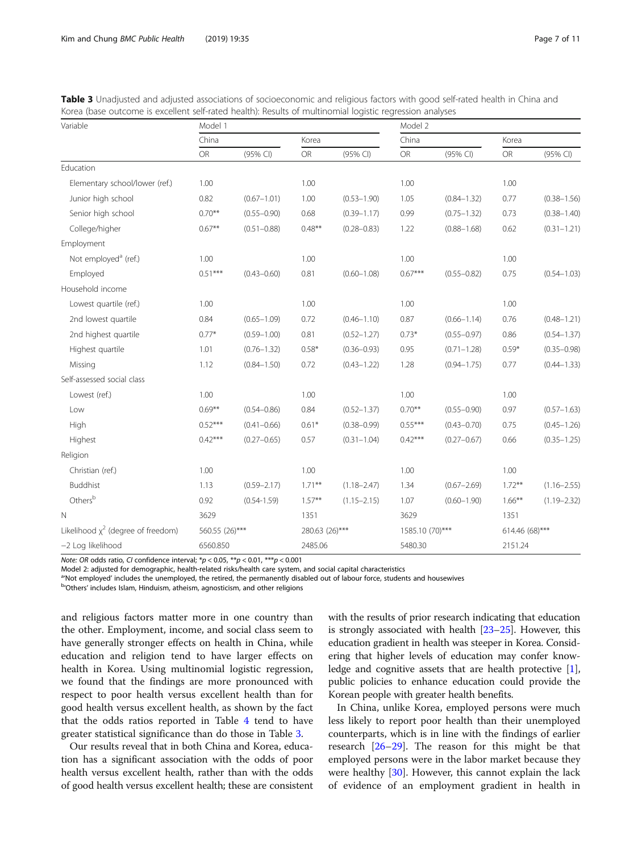| Variable                                | Model 1        |                 |                |                 | Model 2         |                 |                |                 |  |
|-----------------------------------------|----------------|-----------------|----------------|-----------------|-----------------|-----------------|----------------|-----------------|--|
|                                         | China          |                 |                | Korea           |                 | China           |                | Korea           |  |
|                                         | OR             | (95% CI)        | OR             | (95% CI)        | ${\sf OR}$      | (95% CI)        | OR             | (95% CI)        |  |
| Education                               |                |                 |                |                 |                 |                 |                |                 |  |
| Elementary school/lower (ref.)          | 1.00           |                 | 1.00           |                 | 1.00            |                 | 1.00           |                 |  |
| Junior high school                      | 0.82           | $(0.67 - 1.01)$ | 1.00           | $(0.53 - 1.90)$ | 1.05            | $(0.84 - 1.32)$ | 0.77           | $(0.38 - 1.56)$ |  |
| Senior high school                      | $0.70***$      | $(0.55 - 0.90)$ | 0.68           | $(0.39 - 1.17)$ | 0.99            | $(0.75 - 1.32)$ | 0.73           | $(0.38 - 1.40)$ |  |
| College/higher                          | $0.67**$       | $(0.51 - 0.88)$ | $0.48**$       | $(0.28 - 0.83)$ | 1.22            | $(0.88 - 1.68)$ | 0.62           | $(0.31 - 1.21)$ |  |
| Employment                              |                |                 |                |                 |                 |                 |                |                 |  |
| Not employed <sup>a</sup> (ref.)        | 1.00           |                 | 1.00           |                 | 1.00            |                 | 1.00           |                 |  |
| Employed                                | $0.51***$      | $(0.43 - 0.60)$ | 0.81           | $(0.60 - 1.08)$ | $0.67***$       | $(0.55 - 0.82)$ | 0.75           | $(0.54 - 1.03)$ |  |
| Household income                        |                |                 |                |                 |                 |                 |                |                 |  |
| Lowest quartile (ref.)                  | 1.00           |                 | 1.00           |                 | 1.00            |                 | 1.00           |                 |  |
| 2nd lowest quartile                     | 0.84           | $(0.65 - 1.09)$ | 0.72           | $(0.46 - 1.10)$ | 0.87            | $(0.66 - 1.14)$ | 0.76           | $(0.48 - 1.21)$ |  |
| 2nd highest quartile                    | $0.77*$        | $(0.59 - 1.00)$ | 0.81           | $(0.52 - 1.27)$ | $0.73*$         | $(0.55 - 0.97)$ | 0.86           | $(0.54 - 1.37)$ |  |
| Highest quartile                        | 1.01           | $(0.76 - 1.32)$ | $0.58*$        | $(0.36 - 0.93)$ | 0.95            | $(0.71 - 1.28)$ | $0.59*$        | $(0.35 - 0.98)$ |  |
| Missing                                 | 1.12           | $(0.84 - 1.50)$ | 0.72           | $(0.43 - 1.22)$ | 1.28            | $(0.94 - 1.75)$ | 0.77           | $(0.44 - 1.33)$ |  |
| Self-assessed social class              |                |                 |                |                 |                 |                 |                |                 |  |
| Lowest (ref.)                           | 1.00           |                 | 1.00           |                 | 1.00            |                 | 1.00           |                 |  |
| Low                                     | $0.69**$       | $(0.54 - 0.86)$ | 0.84           | $(0.52 - 1.37)$ | $0.70**$        | $(0.55 - 0.90)$ | 0.97           | $(0.57 - 1.63)$ |  |
| High                                    | $0.52***$      | $(0.41 - 0.66)$ | $0.61*$        | $(0.38 - 0.99)$ | $0.55***$       | $(0.43 - 0.70)$ | 0.75           | $(0.45 - 1.26)$ |  |
| Highest                                 | $0.42***$      | $(0.27 - 0.65)$ | 0.57           | $(0.31 - 1.04)$ | $0.42***$       | $(0.27 - 0.67)$ | 0.66           | $(0.35 - 1.25)$ |  |
| Religion                                |                |                 |                |                 |                 |                 |                |                 |  |
| Christian (ref.)                        | 1.00           |                 | 1.00           |                 | 1.00            |                 | 1.00           |                 |  |
| <b>Buddhist</b>                         | 1.13           | $(0.59 - 2.17)$ | $1.71***$      | $(1.18 - 2.47)$ | 1.34            | $(0.67 - 2.69)$ | $1.72***$      | $(1.16 - 2.55)$ |  |
| Othersb                                 | 0.92           | $(0.54 - 1.59)$ | $1.57***$      | $(1.15 - 2.15)$ | 1.07            | $(0.60 - 1.90)$ | $1.66***$      | $(1.19 - 2.32)$ |  |
| $\mathbb N$                             | 3629           |                 | 1351           |                 | 3629            |                 | 1351           |                 |  |
| Likelihood $\chi^2$ (degree of freedom) | 560.55 (26)*** |                 | 280.63 (26)*** |                 | 1585.10 (70)*** |                 | 614.46 (68)*** |                 |  |
| -2 Log likelihood                       | 6560.850       |                 | 2485.06        |                 | 5480.30         |                 | 2151.24        |                 |  |

<span id="page-6-0"></span>Table 3 Unadjusted and adjusted associations of socioeconomic and religious factors with good self-rated health in China and Korea (base outcome is excellent self-rated health): Results of multinomial logistic regression analyses

Note: OR odds ratio, CI confidence interval;  $*p < 0.05$ ,  $**p < 0.01$ ,  $***p < 0.001$ 

Model 2: adjusted for demographic, health-related risks/health care system, and social capital characteristics

<sup>a</sup> Not employed' includes the unemployed, the retired, the permanently disabled out of labour force, students and housewives by the permanent of the unit of the students and housewives

<sup>b</sup>'Others' includes Islam, Hinduism, atheism, agnosticism, and other religions

and religious factors matter more in one country than the other. Employment, income, and social class seem to have generally stronger effects on health in China, while education and religion tend to have larger effects on health in Korea. Using multinomial logistic regression, we found that the findings are more pronounced with respect to poor health versus excellent health than for good health versus excellent health, as shown by the fact that the odds ratios reported in Table [4](#page-7-0) tend to have greater statistical significance than do those in Table 3.

Our results reveal that in both China and Korea, education has a significant association with the odds of poor health versus excellent health, rather than with the odds of good health versus excellent health; these are consistent

with the results of prior research indicating that education is strongly associated with health [\[23](#page-10-0)–[25\]](#page-10-0). However, this education gradient in health was steeper in Korea. Considering that higher levels of education may confer knowledge and cognitive assets that are health protective [[1](#page-9-0)], public policies to enhance education could provide the Korean people with greater health benefits.

In China, unlike Korea, employed persons were much less likely to report poor health than their unemployed counterparts, which is in line with the findings of earlier research  $[26-29]$  $[26-29]$  $[26-29]$  $[26-29]$  $[26-29]$ . The reason for this might be that employed persons were in the labor market because they were healthy  $[30]$  $[30]$  $[30]$ . However, this cannot explain the lack of evidence of an employment gradient in health in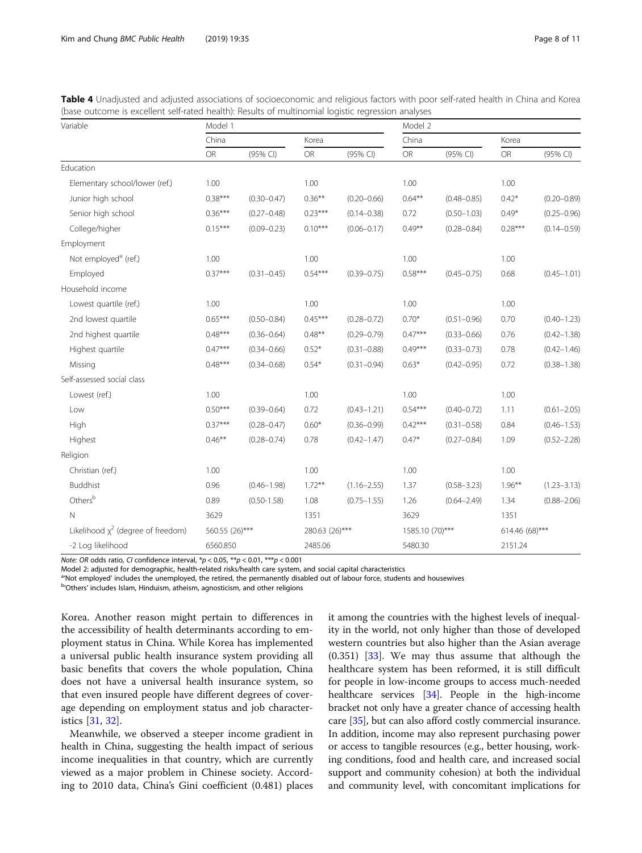| Variable                                | Model 1        |                 |                |                 | Model 2         |                 |                |                 |
|-----------------------------------------|----------------|-----------------|----------------|-----------------|-----------------|-----------------|----------------|-----------------|
|                                         | China          |                 | Korea          |                 | China           |                 | Korea          |                 |
|                                         | <b>OR</b>      | (95% CI)        | $\mathsf{OR}$  | (95% CI)        | OR              | (95% CI)        | ${\sf OR}$     | (95% CI)        |
| Education                               |                |                 |                |                 |                 |                 |                |                 |
| Elementary school/lower (ref.)          | 1.00           |                 | 1.00           |                 | 1.00            |                 | 1.00           |                 |
| Junior high school                      | $0.38***$      | $(0.30 - 0.47)$ | $0.36***$      | $(0.20 - 0.66)$ | $0.64***$       | $(0.48 - 0.85)$ | $0.42*$        | $(0.20 - 0.89)$ |
| Senior high school                      | $0.36***$      | $(0.27 - 0.48)$ | $0.23***$      | $(0.14 - 0.38)$ | 0.72            | $(0.50 - 1.03)$ | $0.49*$        | $(0.25 - 0.96)$ |
| College/higher                          | $0.15***$      | $(0.09 - 0.23)$ | $0.10***$      | $(0.06 - 0.17)$ | $0.49**$        | $(0.28 - 0.84)$ | $0.28***$      | $(0.14 - 0.59)$ |
| Employment                              |                |                 |                |                 |                 |                 |                |                 |
| Not employed <sup>a</sup> (ref.)        | 1.00           |                 | 1.00           |                 | 1.00            |                 | 1.00           |                 |
| Employed                                | $0.37***$      | $(0.31 - 0.45)$ | $0.54***$      | $(0.39 - 0.75)$ | $0.58***$       | $(0.45 - 0.75)$ | 0.68           | $(0.45 - 1.01)$ |
| Household income                        |                |                 |                |                 |                 |                 |                |                 |
| Lowest quartile (ref.)                  | 1.00           |                 | 1.00           |                 | 1.00            |                 | 1.00           |                 |
| 2nd lowest quartile                     | $0.65***$      | $(0.50 - 0.84)$ | $0.45***$      | $(0.28 - 0.72)$ | $0.70*$         | $(0.51 - 0.96)$ | 0.70           | $(0.40 - 1.23)$ |
| 2nd highest quartile                    | $0.48***$      | $(0.36 - 0.64)$ | $0.48***$      | $(0.29 - 0.79)$ | $0.47***$       | $(0.33 - 0.66)$ | 0.76           | $(0.42 - 1.38)$ |
| Highest quartile                        | $0.47***$      | $(0.34 - 0.66)$ | $0.52*$        | $(0.31 - 0.88)$ | $0.49***$       | $(0.33 - 0.73)$ | 0.78           | $(0.42 - 1.46)$ |
| Missing                                 | $0.48***$      | $(0.34 - 0.68)$ | $0.54*$        | $(0.31 - 0.94)$ | $0.63*$         | $(0.42 - 0.95)$ | 0.72           | $(0.38 - 1.38)$ |
| Self-assessed social class              |                |                 |                |                 |                 |                 |                |                 |
| Lowest (ref.)                           | 1.00           |                 | 1.00           |                 | 1.00            |                 | 1.00           |                 |
| Low                                     | $0.50***$      | $(0.39 - 0.64)$ | 0.72           | $(0.43 - 1.21)$ | $0.54***$       | $(0.40 - 0.72)$ | 1.11           | $(0.61 - 2.05)$ |
| High                                    | $0.37***$      | $(0.28 - 0.47)$ | $0.60*$        | $(0.36 - 0.99)$ | $0.42***$       | $(0.31 - 0.58)$ | 0.84           | $(0.46 - 1.53)$ |
| Highest                                 | $0.46**$       | $(0.28 - 0.74)$ | 0.78           | $(0.42 - 1.47)$ | $0.47*$         | $(0.27 - 0.84)$ | 1.09           | $(0.52 - 2.28)$ |
| Religion                                |                |                 |                |                 |                 |                 |                |                 |
| Christian (ref.)                        | 1.00           |                 | 1.00           |                 | 1.00            |                 | 1.00           |                 |
| Buddhist                                | 0.96           | $(0.46 - 1.98)$ | $1.72**$       | $(1.16 - 2.55)$ | 1.37            | $(0.58 - 3.23)$ | $1.96***$      | $(1.23 - 3.13)$ |
| Others <sup>b</sup>                     | 0.89           | $(0.50 - 1.58)$ | 1.08           | $(0.75 - 1.55)$ | 1.26            | $(0.64 - 2.49)$ | 1.34           | $(0.88 - 2.06)$ |
| $\mathsf{N}$                            | 3629           |                 | 1351           |                 | 3629            |                 | 1351           |                 |
| Likelihood $\chi^2$ (degree of freedom) | 560.55 (26)*** |                 | 280.63 (26)*** |                 | 1585.10 (70)*** |                 | 614.46 (68)*** |                 |
| -2 Log likelihood                       | 6560.850       |                 | 2485.06        |                 | 5480.30         |                 | 2151.24        |                 |

<span id="page-7-0"></span>Table 4 Unadjusted and adjusted associations of socioeconomic and religious factors with poor self-rated health in China and Korea (base outcome is excellent self-rated health): Results of multinomial logistic regression analyses

Note: OR odds ratio, CI confidence interval,  $p < 0.05$ ,  $p < 0.01$ ,  $p > 0.001$ 

Model 2: adjusted for demographic, health-related risks/health care system, and social capital characteristics

<sup>a</sup> Not employed' includes the unemployed, the retired, the permanently disabled out of labour force, students and housewives by the permanent of the unit of the students and housewives

<sup>b</sup>'Others' includes Islam, Hinduism, atheism, agnosticism, and other religions

Korea. Another reason might pertain to differences in the accessibility of health determinants according to employment status in China. While Korea has implemented a universal public health insurance system providing all basic benefits that covers the whole population, China does not have a universal health insurance system, so that even insured people have different degrees of coverage depending on employment status and job characteristics [\[31,](#page-10-0) [32\]](#page-10-0).

Meanwhile, we observed a steeper income gradient in health in China, suggesting the health impact of serious income inequalities in that country, which are currently viewed as a major problem in Chinese society. According to 2010 data, China's Gini coefficient (0.481) places it among the countries with the highest levels of inequality in the world, not only higher than those of developed western countries but also higher than the Asian average (0.351) [\[33](#page-10-0)]. We may thus assume that although the healthcare system has been reformed, it is still difficult for people in low-income groups to access much-needed healthcare services [\[34](#page-10-0)]. People in the high-income bracket not only have a greater chance of accessing health care [\[35\]](#page-10-0), but can also afford costly commercial insurance. In addition, income may also represent purchasing power or access to tangible resources (e.g., better housing, working conditions, food and health care, and increased social support and community cohesion) at both the individual and community level, with concomitant implications for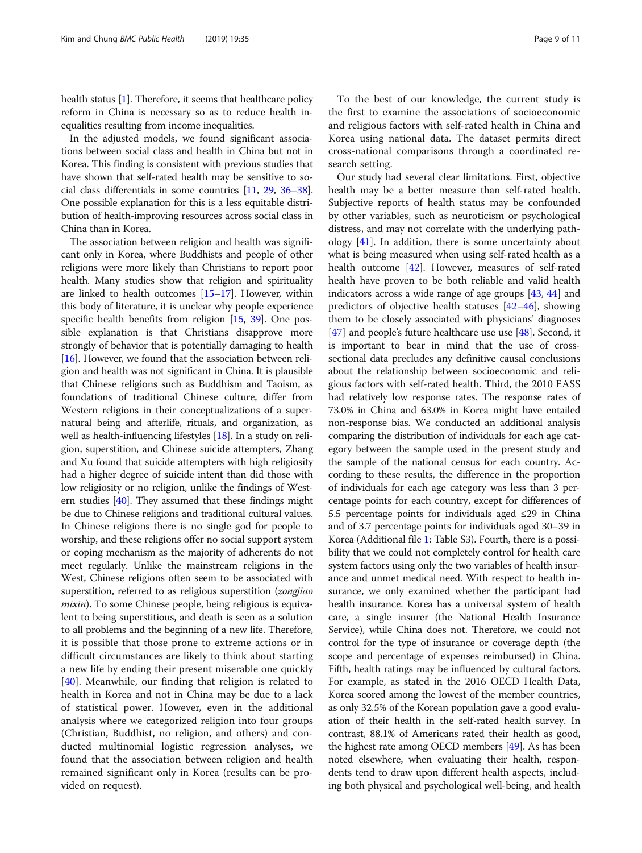health status [[1\]](#page-9-0). Therefore, it seems that healthcare policy reform in China is necessary so as to reduce health inequalities resulting from income inequalities.

In the adjusted models, we found significant associations between social class and health in China but not in Korea. This finding is consistent with previous studies that have shown that self-rated health may be sensitive to social class differentials in some countries [[11](#page-9-0), [29](#page-10-0), [36](#page-10-0)–[38](#page-10-0)]. One possible explanation for this is a less equitable distribution of health-improving resources across social class in China than in Korea.

The association between religion and health was significant only in Korea, where Buddhists and people of other religions were more likely than Christians to report poor health. Many studies show that religion and spirituality are linked to health outcomes [\[15](#page-10-0)–[17](#page-10-0)]. However, within this body of literature, it is unclear why people experience specific health benefits from religion [\[15](#page-10-0), [39](#page-10-0)]. One possible explanation is that Christians disapprove more strongly of behavior that is potentially damaging to health [[16](#page-10-0)]. However, we found that the association between religion and health was not significant in China. It is plausible that Chinese religions such as Buddhism and Taoism, as foundations of traditional Chinese culture, differ from Western religions in their conceptualizations of a supernatural being and afterlife, rituals, and organization, as well as health-influencing lifestyles [\[18\]](#page-10-0). In a study on religion, superstition, and Chinese suicide attempters, Zhang and Xu found that suicide attempters with high religiosity had a higher degree of suicide intent than did those with low religiosity or no religion, unlike the findings of Western studies [[40](#page-10-0)]. They assumed that these findings might be due to Chinese religions and traditional cultural values. In Chinese religions there is no single god for people to worship, and these religions offer no social support system or coping mechanism as the majority of adherents do not meet regularly. Unlike the mainstream religions in the West, Chinese religions often seem to be associated with superstition, referred to as religious superstition (*zongjiao*) mixin). To some Chinese people, being religious is equivalent to being superstitious, and death is seen as a solution to all problems and the beginning of a new life. Therefore, it is possible that those prone to extreme actions or in difficult circumstances are likely to think about starting a new life by ending their present miserable one quickly [[40\]](#page-10-0). Meanwhile, our finding that religion is related to health in Korea and not in China may be due to a lack of statistical power. However, even in the additional analysis where we categorized religion into four groups (Christian, Buddhist, no religion, and others) and conducted multinomial logistic regression analyses, we found that the association between religion and health remained significant only in Korea (results can be provided on request).

To the best of our knowledge, the current study is the first to examine the associations of socioeconomic and religious factors with self-rated health in China and Korea using national data. The dataset permits direct cross-national comparisons through a coordinated research setting.

Our study had several clear limitations. First, objective health may be a better measure than self-rated health. Subjective reports of health status may be confounded by other variables, such as neuroticism or psychological distress, and may not correlate with the underlying pathology [[41](#page-10-0)]. In addition, there is some uncertainty about what is being measured when using self-rated health as a health outcome [[42](#page-10-0)]. However, measures of self-rated health have proven to be both reliable and valid health indicators across a wide range of age groups [[43](#page-10-0), [44](#page-10-0)] and predictors of objective health statuses [[42](#page-10-0)–[46\]](#page-10-0), showing them to be closely associated with physicians' diagnoses  $[47]$  $[47]$  and people's future healthcare use use  $[48]$  $[48]$ . Second, it is important to bear in mind that the use of crosssectional data precludes any definitive causal conclusions about the relationship between socioeconomic and religious factors with self-rated health. Third, the 2010 EASS had relatively low response rates. The response rates of 73.0% in China and 63.0% in Korea might have entailed non-response bias. We conducted an additional analysis comparing the distribution of individuals for each age category between the sample used in the present study and the sample of the national census for each country. According to these results, the difference in the proportion of individuals for each age category was less than 3 percentage points for each country, except for differences of 5.5 percentage points for individuals aged ≤29 in China and of 3.7 percentage points for individuals aged 30–39 in Korea (Additional file [1](#page-9-0): Table S3). Fourth, there is a possibility that we could not completely control for health care system factors using only the two variables of health insurance and unmet medical need. With respect to health insurance, we only examined whether the participant had health insurance. Korea has a universal system of health care, a single insurer (the National Health Insurance Service), while China does not. Therefore, we could not control for the type of insurance or coverage depth (the scope and percentage of expenses reimbursed) in China. Fifth, health ratings may be influenced by cultural factors. For example, as stated in the 2016 OECD Health Data, Korea scored among the lowest of the member countries, as only 32.5% of the Korean population gave a good evaluation of their health in the self-rated health survey. In contrast, 88.1% of Americans rated their health as good, the highest rate among OECD members [\[49\]](#page-10-0). As has been noted elsewhere, when evaluating their health, respondents tend to draw upon different health aspects, including both physical and psychological well-being, and health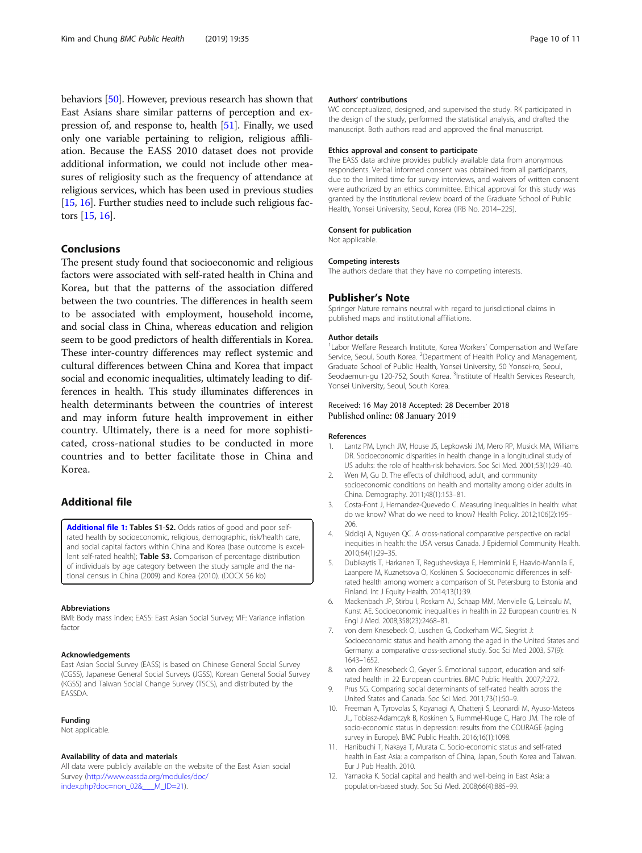<span id="page-9-0"></span>behaviors [\[50\]](#page-10-0). However, previous research has shown that East Asians share similar patterns of perception and expression of, and response to, health [[51](#page-10-0)]. Finally, we used only one variable pertaining to religion, religious affiliation. Because the EASS 2010 dataset does not provide additional information, we could not include other measures of religiosity such as the frequency of attendance at religious services, which has been used in previous studies [[15](#page-10-0), [16\]](#page-10-0). Further studies need to include such religious factors [[15](#page-10-0), [16\]](#page-10-0).

## Conclusions

The present study found that socioeconomic and religious factors were associated with self-rated health in China and Korea, but that the patterns of the association differed between the two countries. The differences in health seem to be associated with employment, household income, and social class in China, whereas education and religion seem to be good predictors of health differentials in Korea. These inter-country differences may reflect systemic and cultural differences between China and Korea that impact social and economic inequalities, ultimately leading to differences in health. This study illuminates differences in health determinants between the countries of interest and may inform future health improvement in either country. Ultimately, there is a need for more sophisticated, cross-national studies to be conducted in more countries and to better facilitate those in China and Korea.

## Additional file

[Additional file 1:](https://doi.org/10.1186/s12889-018-6380-y) Tables S1-S2. Odds ratios of good and poor selfrated health by socioeconomic, religious, demographic, risk/health care, and social capital factors within China and Korea (base outcome is excellent self-rated health); Table S3. Comparison of percentage distribution of individuals by age category between the study sample and the national census in China (2009) and Korea (2010). (DOCX 56 kb)

#### Abbreviations

BMI: Body mass index; EASS: East Asian Social Survey; VIF: Variance inflation factor

#### Acknowledgements

East Asian Social Survey (EASS) is based on Chinese General Social Survey (CGSS), Japanese General Social Surveys (JGSS), Korean General Social Survey (KGSS) and Taiwan Social Change Survey (TSCS), and distributed by the EASSDA.

#### Funding

Not applicable.

## Availability of data and materials

All data were publicly available on the website of the East Asian social Survey ([http://www.eassda.org/modules/doc/](http://www.eassda.org/modules/doc/index.php?doc=non_02&___M_ID=21) [index.php?doc=non\\_02&\\_\\_\\_M\\_ID=21](http://www.eassda.org/modules/doc/index.php?doc=non_02&___M_ID=21)).

## Authors' contributions

WC conceptualized, designed, and supervised the study. RK participated in the design of the study, performed the statistical analysis, and drafted the manuscript. Both authors read and approved the final manuscript.

## Ethics approval and consent to participate

The EASS data archive provides publicly available data from anonymous respondents. Verbal informed consent was obtained from all participants, due to the limited time for survey interviews, and waivers of written consent were authorized by an ethics committee. Ethical approval for this study was granted by the institutional review board of the Graduate School of Public Health, Yonsei University, Seoul, Korea (IRB No. 2014–225).

#### Consent for publication

Not applicable.

#### Competing interests

The authors declare that they have no competing interests.

## Publisher's Note

Springer Nature remains neutral with regard to jurisdictional claims in published maps and institutional affiliations.

#### Author details

<sup>1</sup> Labor Welfare Research Institute, Korea Workers' Compensation and Welfare Service, Seoul, South Korea. <sup>2</sup>Department of Health Policy and Management, Graduate School of Public Health, Yonsei University, 50 Yonsei-ro, Seoul, Seodaemun-gu 120-752, South Korea. <sup>3</sup>Institute of Health Services Research, Yonsei University, Seoul, South Korea.

## Received: 16 May 2018 Accepted: 28 December 2018 Published online: 08 January 2019

#### References

- 1. Lantz PM, Lynch JW, House JS, Lepkowski JM, Mero RP, Musick MA, Williams DR. Socioeconomic disparities in health change in a longitudinal study of US adults: the role of health-risk behaviors. Soc Sci Med. 2001;53(1):29–40.
- 2. Wen M, Gu D. The effects of childhood, adult, and community socioeconomic conditions on health and mortality among older adults in China. Demography. 2011;48(1):153–81.
- 3. Costa-Font J, Hernandez-Quevedo C. Measuring inequalities in health: what do we know? What do we need to know? Health Policy. 2012;106(2):195– 206.
- 4. Siddiqi A, Nguyen QC. A cross-national comparative perspective on racial inequities in health: the USA versus Canada. J Epidemiol Community Health. 2010;64(1):29–35.
- 5. Dubikaytis T, Harkanen T, Regushevskaya E, Hemminki E, Haavio-Mannila E, Laanpere M, Kuznetsova O, Koskinen S. Socioeconomic differences in selfrated health among women: a comparison of St. Petersburg to Estonia and Finland. Int J Equity Health. 2014;13(1):39.
- 6. Mackenbach JP, Stirbu I, Roskam AJ, Schaap MM, Menvielle G, Leinsalu M, Kunst AE. Socioeconomic inequalities in health in 22 European countries. N Engl J Med. 2008;358(23):2468–81.
- 7. von dem Knesebeck O, Luschen G, Cockerham WC, Siegrist J: Socioeconomic status and health among the aged in the United States and Germany: a comparative cross-sectional study. Soc Sci Med 2003, 57(9): 1643–1652.
- 8. von dem Knesebeck O, Geyer S. Emotional support, education and selfrated health in 22 European countries. BMC Public Health. 2007;7:272.
- Prus SG. Comparing social determinants of self-rated health across the United States and Canada. Soc Sci Med. 2011;73(1):50–9.
- 10. Freeman A, Tyrovolas S, Koyanagi A, Chatterji S, Leonardi M, Ayuso-Mateos JL, Tobiasz-Adamczyk B, Koskinen S, Rummel-Kluge C, Haro JM. The role of socio-economic status in depression: results from the COURAGE (aging survey in Europe). BMC Public Health. 2016;16(1):1098.
- 11. Hanibuchi T, Nakaya T, Murata C. Socio-economic status and self-rated health in East Asia: a comparison of China, Japan, South Korea and Taiwan. Eur J Pub Health. 2010.
- 12. Yamaoka K. Social capital and health and well-being in East Asia: a population-based study. Soc Sci Med. 2008;66(4):885–99.